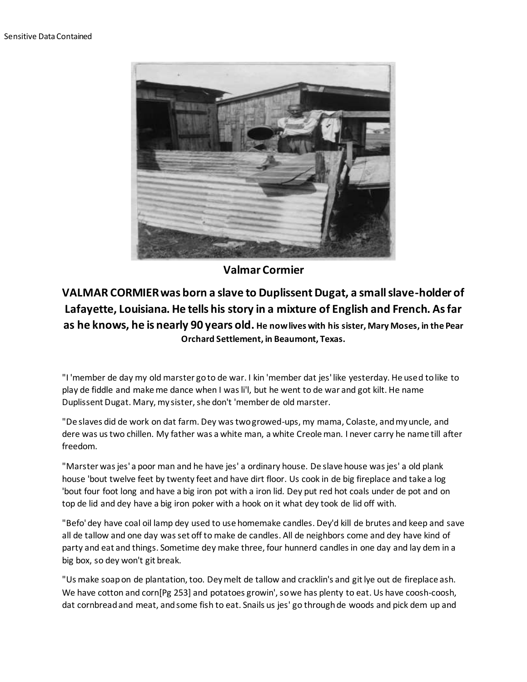

## **Valmar Cormier**

## **VALMAR CORMIER was born a slave to Duplissent Dugat, a small slave-holder of Lafayette, Louisiana. He tells his story in a mixture of English and French. As far as he knows, he is nearly 90 years old. He now lives with his sister, Mary Moses, in the Pear Orchard Settlement, in Beaumont, Texas.**

"I 'member de day my old marster go to de war. I kin 'member dat jes' like yesterday. He used to like to play de fiddle and make me dance when I was li'l, but he went to de war and got kilt. He name Duplissent Dugat. Mary, my sister, she don't 'member de old marster.

"De slaves did de work on dat farm. Dey was two growed-ups, my mama, Colaste, and my uncle, and dere was us two chillen. My father was a white man, a white Creole man. I never carry he name till after freedom.

"Marster was jes' a poor man and he have jes' a ordinary house. De slave house was jes' a old plank house 'bout twelve feet by twenty feet and have dirt floor. Us cook in de big fireplace and take a log 'bout four foot long and have a big iron pot with a iron lid. Dey put red hot coals under de pot and on top de lid and dey have a big iron poker with a hook on it what dey took de lid off with.

"Befo' dey have coal oil lamp dey used to use homemake candles. Dey'd kill de brutes and keep and save all de tallow and one day was set off to make de candles. All de neighbors come and dey have kind of party and eat and things. Sometime dey make three, four hunnerd candles in one day and lay dem in a big box, so dey won't git break.

"Us make soap on de plantation, too. Dey melt de tallow and cracklin's and git lye out de fireplace ash. We have cotton and corn[Pg 253] and potatoes growin', so we has plenty to eat. Us have coosh-coosh, dat cornbread and meat, and some fish to eat. Snails us jes' go through de woods and pick dem up and